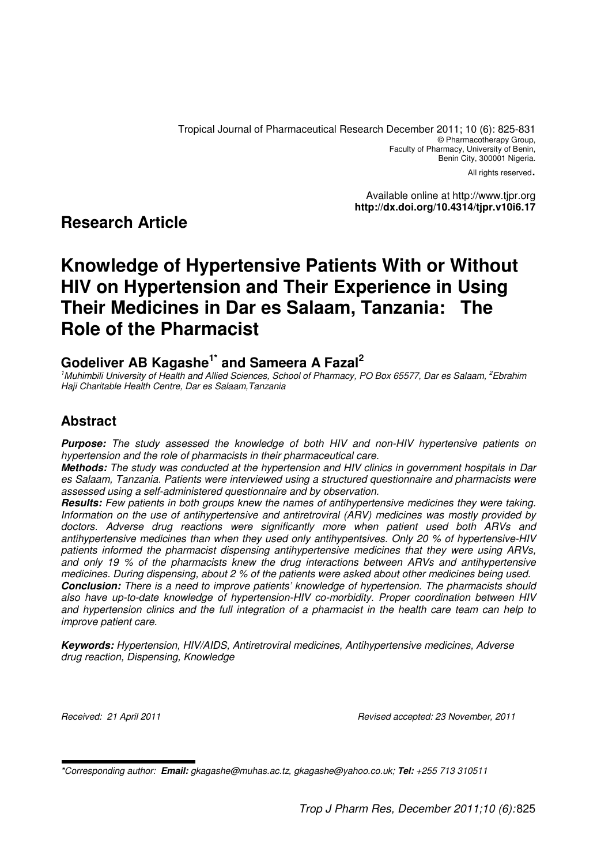Tropical Journal of Pharmaceutical Research December 2011; 10 (6): 825-831 © Pharmacotherapy Group, Faculty of Pharmacy, University of Benin, Benin City, 300001 Nigeria.

All rights reserved.

Available online at http://www.tjpr.org **http://dx.doi.org/10.4314/tjpr.v10i6.17**

# **Research Article**

# **Knowledge of Hypertensive Patients With or Without HIV on Hypertension and Their Experience in Using Their Medicines in Dar es Salaam, Tanzania: The Role of the Pharmacist**

## **Godeliver AB Kagashe1\* and Sameera A Fazal<sup>2</sup>**

<sup>1</sup>Muhimbili University of Health and Allied Sciences, School of Pharmacy, PO Box 65577, Dar es Salaam, <sup>2</sup>Ebrahim Haji Charitable Health Centre, Dar es Salaam,Tanzania

## **Abstract**

**Purpose:** The study assessed the knowledge of both HIV and non-HIV hypertensive patients on hypertension and the role of pharmacists in their pharmaceutical care.

**Methods:** The study was conducted at the hypertension and HIV clinics in government hospitals in Dar es Salaam, Tanzania. Patients were interviewed using a structured questionnaire and pharmacists were assessed using a self-administered questionnaire and by observation.

**Results:** Few patients in both groups knew the names of antihypertensive medicines they were taking. Information on the use of antihypertensive and antiretroviral (ARV) medicines was mostly provided by doctors. Adverse drug reactions were significantly more when patient used both ARVs and antihypertensive medicines than when they used only antihypentsives. Only 20 % of hypertensive-HIV patients informed the pharmacist dispensing antihypertensive medicines that they were using ARVs, and only 19 % of the pharmacists knew the drug interactions between ARVs and antihypertensive medicines. During dispensing, about 2 % of the patients were asked about other medicines being used. **Conclusion:** There is a need to improve patients' knowledge of hypertension. The pharmacists should also have up-to-date knowledge of hypertension-HIV co-morbidity. Proper coordination between HIV and hypertension clinics and the full integration of a pharmacist in the health care team can help to improve patient care.

**Keywords:** Hypertension, HIV/AIDS, Antiretroviral medicines, Antihypertensive medicines, Adverse drug reaction, Dispensing, Knowledge

Received: 21 April 2011 Revised accepted: 23 November, 2011

<sup>\*</sup>Corresponding author: **Email:** gkagashe@muhas.ac.tz, gkagashe@yahoo.co.uk; **Tel:** +255 713 310511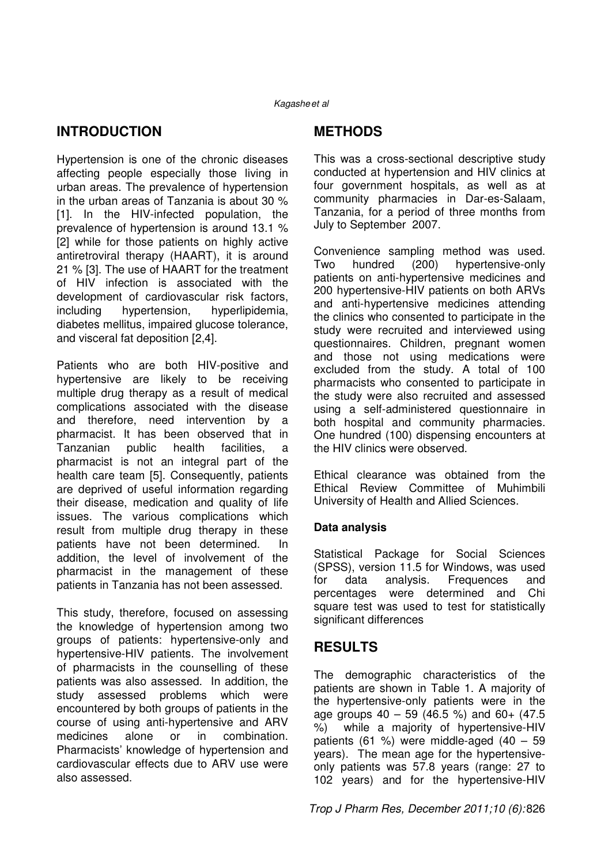# **INTRODUCTION**

Hypertension is one of the chronic diseases affecting people especially those living in urban areas. The prevalence of hypertension in the urban areas of Tanzania is about 30 % [1]. In the HIV-infected population, the prevalence of hypertension is around 13.1 % [2] while for those patients on highly active antiretroviral therapy (HAART), it is around 21 % [3]. The use of HAART for the treatment of HIV infection is associated with the development of cardiovascular risk factors, including hypertension, hyperlipidemia, diabetes mellitus, impaired glucose tolerance, and visceral fat deposition [2,4].

Patients who are both HIV-positive and hypertensive are likely to be receiving multiple drug therapy as a result of medical complications associated with the disease and therefore, need intervention by a pharmacist. It has been observed that in Tanzanian public health facilities, a pharmacist is not an integral part of the health care team [5]. Consequently, patients are deprived of useful information regarding their disease, medication and quality of life issues. The various complications which result from multiple drug therapy in these patients have not been determined. In addition, the level of involvement of the pharmacist in the management of these patients in Tanzania has not been assessed.

This study, therefore, focused on assessing the knowledge of hypertension among two groups of patients: hypertensive-only and hypertensive-HIV patients. The involvement of pharmacists in the counselling of these patients was also assessed. In addition, the study assessed problems which were encountered by both groups of patients in the course of using anti-hypertensive and ARV medicines alone or in combination. Pharmacists' knowledge of hypertension and cardiovascular effects due to ARV use were also assessed.

# **METHODS**

This was a cross-sectional descriptive study conducted at hypertension and HIV clinics at four government hospitals, as well as at community pharmacies in Dar-es-Salaam, Tanzania, for a period of three months from July to September 2007.

Convenience sampling method was used. Two hundred (200) hypertensive-only patients on anti-hypertensive medicines and 200 hypertensive-HIV patients on both ARVs and anti-hypertensive medicines attending the clinics who consented to participate in the study were recruited and interviewed using questionnaires. Children, pregnant women and those not using medications were excluded from the study. A total of 100 pharmacists who consented to participate in the study were also recruited and assessed using a self-administered questionnaire in both hospital and community pharmacies. One hundred (100) dispensing encounters at the HIV clinics were observed.

Ethical clearance was obtained from the Ethical Review Committee of Muhimbili University of Health and Allied Sciences.

### **Data analysis**

Statistical Package for Social Sciences (SPSS), version 11.5 for Windows, was used for data analysis. Frequences and percentages were determined and Chi square test was used to test for statistically significant differences

# **RESULTS**

The demographic characteristics of the patients are shown in Table 1. A majority of the hypertensive-only patients were in the age groups  $40 - 59$  (46.5 %) and  $60+$  (47.5 %) while a majority of hypertensive-HIV while a majority of hypertensive-HIV patients (61 %) were middle-aged (40  $-59$ years). The mean age for the hypertensiveonly patients was 57.8 years (range: 27 to 102 years) and for the hypertensive-HIV

Trop J Pharm Res, December 2011;10 (6): 826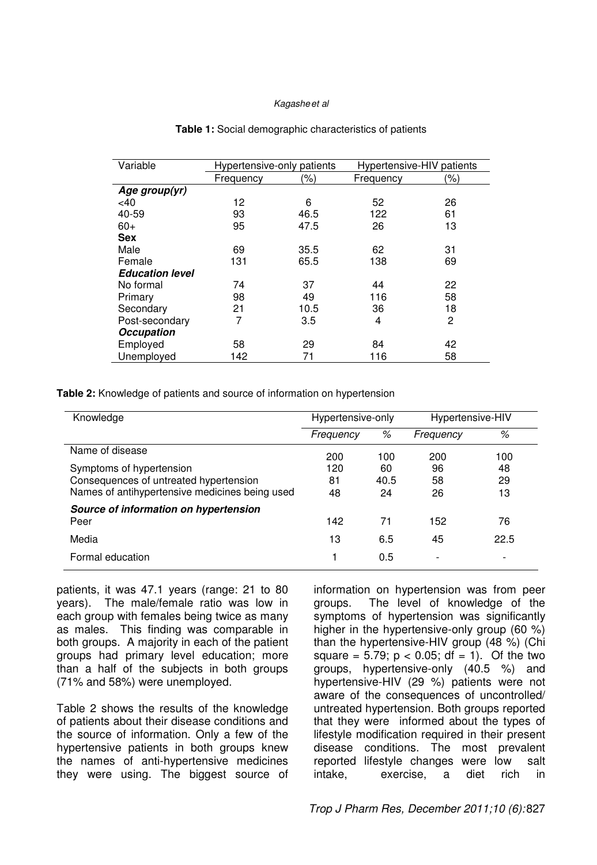| Variable               | Hypertensive-only patients |      | Hypertensive-HIV patients |     |
|------------------------|----------------------------|------|---------------------------|-----|
|                        | Frequency                  | (%)  | Frequency                 | (%) |
| Age group(yr)          |                            |      |                           |     |
| $<$ 40                 | 12                         | 6    | 52                        | 26  |
| 40-59                  | 93                         | 46.5 | 122                       | 61  |
| $60+$                  | 95                         | 47.5 | 26                        | 13  |
| <b>Sex</b>             |                            |      |                           |     |
| Male                   | 69                         | 35.5 | 62                        | 31  |
| Female                 | 131                        | 65.5 | 138                       | 69  |
| <b>Education level</b> |                            |      |                           |     |
| No formal              | 74                         | 37   | 44                        | 22  |
| Primary                | 98                         | 49   | 116                       | 58  |
| Secondary              | 21                         | 10.5 | 36                        | 18  |
| Post-secondary         | 7                          | 3.5  | 4                         | 2   |
| <b>Occupation</b>      |                            |      |                           |     |
| Employed               | 58                         | 29   | 84                        | 42  |
| Unemployed             | 142                        | 71   | 116                       | 58  |

#### **Table 1:** Social demographic characteristics of patients

**Table 2:** Knowledge of patients and source of information on hypertension

| Knowledge                                      | Hypertensive-only |      | Hypertensive-HIV         |      |
|------------------------------------------------|-------------------|------|--------------------------|------|
|                                                | Frequency         | %    | Frequency                | %    |
| Name of disease                                | 200               | 100  | 200                      | 100  |
| Symptoms of hypertension                       | 120               | 60   | 96                       | 48   |
| Consequences of untreated hypertension         | 81                | 40.5 | 58                       | 29   |
| Names of antihypertensive medicines being used | 48                | 24   | 26                       | 13   |
| Source of information on hypertension          |                   |      |                          |      |
| Peer                                           | 142               | 71   | 152                      | 76   |
| Media                                          | 13                | 6.5  | 45                       | 22.5 |
| Formal education                               |                   | 0.5  | $\overline{\phantom{0}}$ |      |

patients, it was 47.1 years (range: 21 to 80 years). The male/female ratio was low in each group with females being twice as many as males. This finding was comparable in both groups. A majority in each of the patient groups had primary level education; more than a half of the subjects in both groups (71% and 58%) were unemployed.

Table 2 shows the results of the knowledge of patients about their disease conditions and the source of information. Only a few of the hypertensive patients in both groups knew the names of anti-hypertensive medicines they were using. The biggest source of information on hypertension was from peer groups. The level of knowledge of the symptoms of hypertension was significantly higher in the hypertensive-only group (60 %) than the hypertensive-HIV group (48 %) (Chi square =  $5.79$ ;  $p < 0.05$ ; df = 1). Of the two groups, hypertensive-only (40.5 %) and hypertensive-HIV (29 %) patients were not aware of the consequences of uncontrolled/ untreated hypertension. Both groups reported that they were informed about the types of lifestyle modification required in their present disease conditions. The most prevalent reported lifestyle changes were low salt intake, exercise, a diet rich in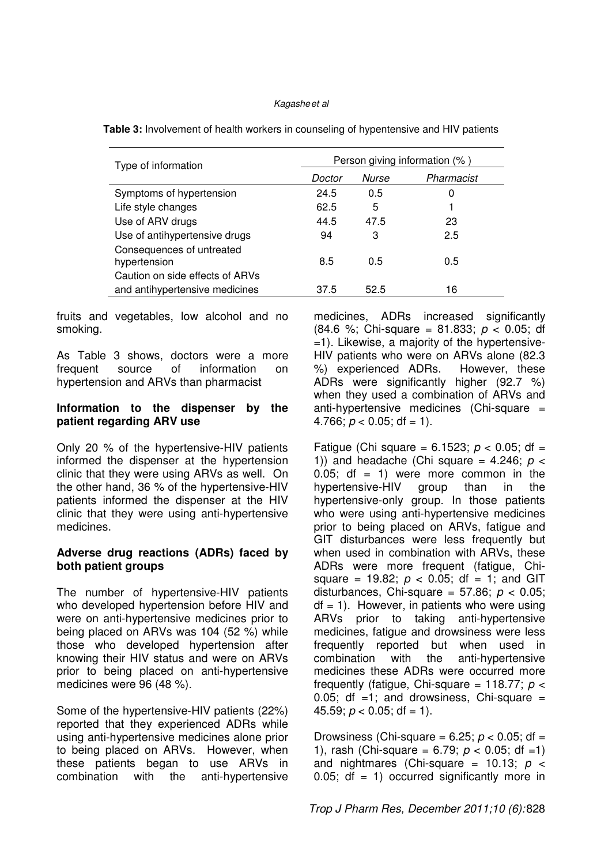| Type of information                       | Person giving information (%) |       |            |  |
|-------------------------------------------|-------------------------------|-------|------------|--|
|                                           | Doctor                        | Nurse | Pharmacist |  |
| Symptoms of hypertension                  | 24.5                          | 0.5   | 0          |  |
| Life style changes                        | 62.5                          | 5     |            |  |
| Use of ARV drugs                          | 44.5                          | 47.5  | 23         |  |
| Use of antihypertensive drugs             | 94                            | 3     | 2.5        |  |
| Consequences of untreated<br>hypertension | 8.5                           | 0.5   | 0.5        |  |
| Caution on side effects of ARVs           |                               |       |            |  |
| and antihypertensive medicines            | 37.5                          | 52.5  | 16         |  |

**Table 3:** Involvement of health workers in counseling of hypentensive and HIV patients

fruits and vegetables, low alcohol and no smoking.

As Table 3 shows, doctors were a more frequent source of information on hypertension and ARVs than pharmacist

#### **Information to the dispenser by the patient regarding ARV use**

Only 20 % of the hypertensive-HIV patients informed the dispenser at the hypertension clinic that they were using ARVs as well. On the other hand, 36 % of the hypertensive-HIV patients informed the dispenser at the HIV clinic that they were using anti-hypertensive medicines.

#### **Adverse drug reactions (ADRs) faced by both patient groups**

The number of hypertensive-HIV patients who developed hypertension before HIV and were on anti-hypertensive medicines prior to being placed on ARVs was 104 (52 %) while those who developed hypertension after knowing their HIV status and were on ARVs prior to being placed on anti-hypertensive medicines were 96 (48 %).

Some of the hypertensive-HIV patients (22%) reported that they experienced ADRs while using anti-hypertensive medicines alone prior to being placed on ARVs. However, when these patients began to use ARVs in combination with the anti-hypertensive medicines, ADRs increased significantly (84.6 %; Chi-square = 81.833;  $p < 0.05$ ; df =1). Likewise, a majority of the hypertensive-HIV patients who were on ARVs alone (82.3 %) experienced ADRs. However, these ADRs were significantly higher (92.7 %) when they used a combination of ARVs and anti-hypertensive medicines (Chi-square = 4.766;  $p < 0.05$ ; df = 1).

Fatigue (Chi square = 6.1523;  $p < 0.05$ ; df = 1)) and headache (Chi square =  $4.246$ ;  $p <$  $0.05$ ; df = 1) were more common in the hypertensive-HIV group than in the hypertensive-only group. In those patients who were using anti-hypertensive medicines prior to being placed on ARVs, fatigue and GIT disturbances were less frequently but when used in combination with ARVs, these ADRs were more frequent (fatigue, Chisquare = 19.82;  $p < 0.05$ ; df = 1; and GIT disturbances, Chi-square = 57.86;  $p < 0.05$ ;  $df = 1$ ). However, in patients who were using ARVs prior to taking anti-hypertensive medicines, fatigue and drowsiness were less frequently reported but when used in combination with the anti-hypertensive medicines these ADRs were occurred more frequently (fatigue, Chi-square = 118.77;  $p <$ 0.05; df  $=1$ ; and drowsiness, Chi-square  $=$ 45.59;  $p < 0.05$ ; df = 1).

Drowsiness (Chi-square = 6.25;  $p < 0.05$ ; df = 1), rash (Chi-square = 6.79;  $p < 0.05$ ; df = 1) and nightmares (Chi-square = 10.13;  $p \le$ 0.05;  $df = 1$ ) occurred significantly more in

Trop J Pharm Res, December 2011;10 (6): 828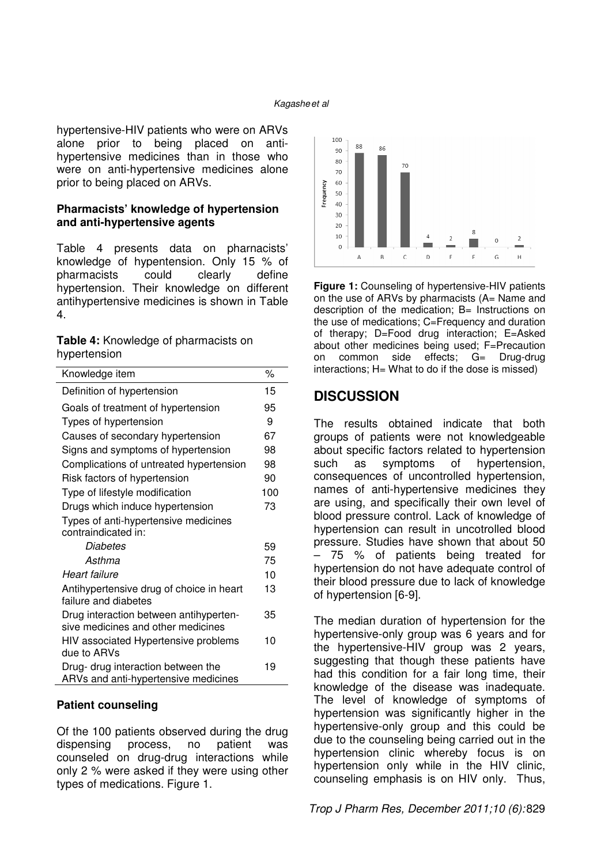hypertensive-HIV patients who were on ARVs alone prior to being placed on antihypertensive medicines than in those who were on anti-hypertensive medicines alone prior to being placed on ARVs.

### **Pharmacists' knowledge of hypertension and anti-hypertensive agents**

Table 4 presents data on pharnacists' knowledge of hypentension. Only 15 % of pharmacists could clearly define hypertension. Their knowledge on different antihypertensive medicines is shown in Table 4.

| Table 4: Knowledge of pharmacists on |  |
|--------------------------------------|--|
| hypertension                         |  |

| Knowledge item                                                               | %   |
|------------------------------------------------------------------------------|-----|
| Definition of hypertension                                                   | 15  |
| Goals of treatment of hypertension                                           | 95  |
| Types of hypertension                                                        | 9   |
| Causes of secondary hypertension                                             | 67  |
| Signs and symptoms of hypertension                                           | 98  |
| Complications of untreated hypertension                                      | 98  |
| Risk factors of hypertension                                                 | 90  |
| Type of lifestyle modification                                               | 100 |
| Drugs which induce hypertension                                              | 73  |
| Types of anti-hypertensive medicines                                         |     |
| contraindicated in:                                                          |     |
| Diabetes                                                                     | 59  |
| Asthma                                                                       | 75  |
| Heart failure                                                                | 10  |
| Antihypertensive drug of choice in heart<br>failure and diabetes             | 13  |
| Drug interaction between antihyperten-<br>sive medicines and other medicines | 35  |
| HIV associated Hypertensive problems<br>due to ARVs                          | 10  |
| Drug- drug interaction between the<br>ARVs and anti-hypertensive medicines   | 19  |

#### **Patient counseling**

Of the 100 patients observed during the drug dispensing process, no patient was counseled on drug-drug interactions while only 2 % were asked if they were using other types of medications. Figure 1.



**Figure 1:** Counseling of hypertensive-HIV patients on the use of ARVs by pharmacists (A= Name and description of the medication; B= Instructions on the use of medications; C=Frequency and duration of therapy; D=Food drug interaction; E=Asked about other medicines being used; F=Precaution on common side effects; G= Drug-drug interactions; H= What to do if the dose is missed)

### **DISCUSSION**

The results obtained indicate that both groups of patients were not knowledgeable about specific factors related to hypertension such as symptoms of hypertension, consequences of uncontrolled hypertension, names of anti-hypertensive medicines they are using, and specifically their own level of blood pressure control. Lack of knowledge of hypertension can result in uncotrolled blood pressure. Studies have shown that about 50 – 75 % of patients being treated for hypertension do not have adequate control of their blood pressure due to lack of knowledge of hypertension [6-9].

The median duration of hypertension for the hypertensive-only group was 6 years and for the hypertensive-HIV group was 2 years, suggesting that though these patients have had this condition for a fair long time, their knowledge of the disease was inadequate. The level of knowledge of symptoms of hypertension was significantly higher in the hypertensive-only group and this could be due to the counseling being carried out in the hypertension clinic whereby focus is on hypertension only while in the HIV clinic, counseling emphasis is on HIV only. Thus,

Trop J Pharm Res, December 2011;10 (6): 829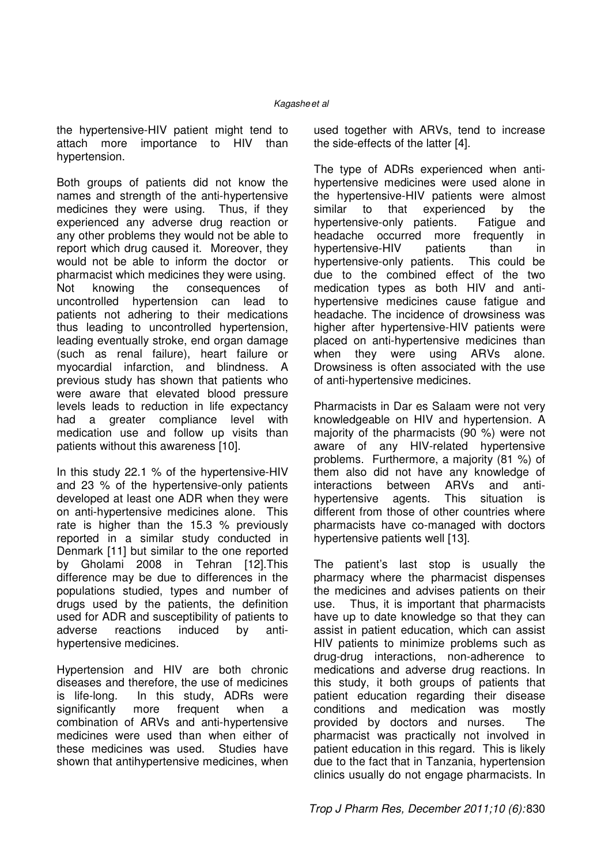the hypertensive-HIV patient might tend to attach more importance to HIV than hypertension.

Both groups of patients did not know the names and strength of the anti-hypertensive medicines they were using. Thus, if they experienced any adverse drug reaction or any other problems they would not be able to report which drug caused it. Moreover, they would not be able to inform the doctor or pharmacist which medicines they were using. Not knowing the consequences of uncontrolled hypertension can lead to patients not adhering to their medications thus leading to uncontrolled hypertension, leading eventually stroke, end organ damage (such as renal failure), heart failure or myocardial infarction, and blindness. A previous study has shown that patients who were aware that elevated blood pressure levels leads to reduction in life expectancy had a greater compliance level with medication use and follow up visits than patients without this awareness [10].

In this study 22.1 % of the hypertensive-HIV and 23 % of the hypertensive-only patients developed at least one ADR when they were on anti-hypertensive medicines alone. This rate is higher than the 15.3 % previously reported in a similar study conducted in Denmark [11] but similar to the one reported by Gholami 2008 in Tehran [12].This difference may be due to differences in the populations studied, types and number of drugs used by the patients, the definition used for ADR and susceptibility of patients to adverse reactions induced by antihypertensive medicines.

Hypertension and HIV are both chronic diseases and therefore, the use of medicines is life-long. In this study, ADRs were significantly more frequent when a combination of ARVs and anti-hypertensive medicines were used than when either of these medicines was used. Studies have shown that antihypertensive medicines, when

used together with ARVs, tend to increase the side-effects of the latter [4].

The type of ADRs experienced when antihypertensive medicines were used alone in the hypertensive-HIV patients were almost similar to that experienced by the hypertensive-only patients. Fatigue and headache occurred more frequently in<br>hypertensive-HIV patients than in hypertensive-HIV patients than in hypertensive-only patients. This could be due to the combined effect of the two medication types as both HIV and antihypertensive medicines cause fatigue and headache. The incidence of drowsiness was higher after hypertensive-HIV patients were placed on anti-hypertensive medicines than when they were using ARVs alone. Drowsiness is often associated with the use of anti-hypertensive medicines.

Pharmacists in Dar es Salaam were not very knowledgeable on HIV and hypertension. A majority of the pharmacists (90 %) were not aware of any HIV-related hypertensive problems. Furthermore, a majority (81 %) of them also did not have any knowledge of interactions between ARVs and antihypertensive agents. This situation is different from those of other countries where pharmacists have co-managed with doctors hypertensive patients well [13].

The patient's last stop is usually the pharmacy where the pharmacist dispenses the medicines and advises patients on their use. Thus, it is important that pharmacists have up to date knowledge so that they can assist in patient education, which can assist HIV patients to minimize problems such as drug-drug interactions, non-adherence to medications and adverse drug reactions. In this study, it both groups of patients that patient education regarding their disease conditions and medication was mostly provided by doctors and nurses. The pharmacist was practically not involved in patient education in this regard. This is likely due to the fact that in Tanzania, hypertension clinics usually do not engage pharmacists. In